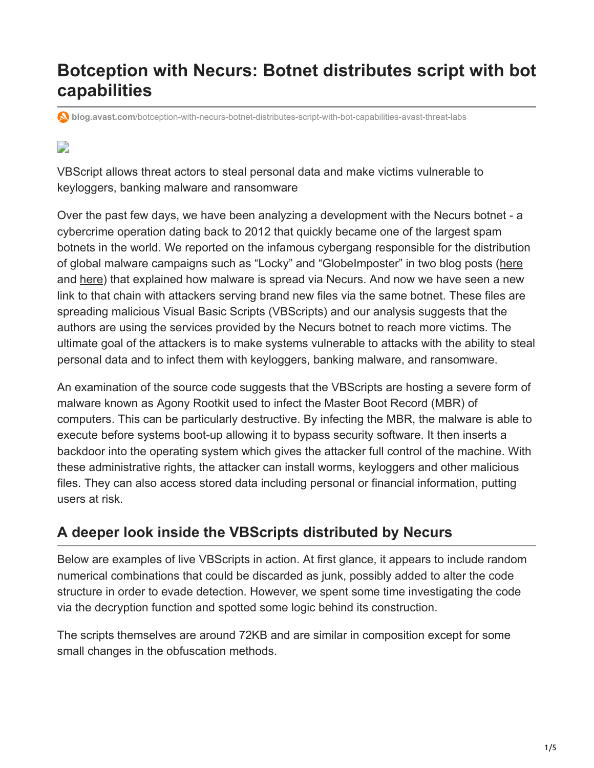# **Botception with Necurs: Botnet distributes script with bot capabilities**

**blog.avast.com**[/botception-with-necurs-botnet-distributes-script-with-bot-capabilities-avast-threat-labs](https://blog.avast.com/botception-with-necurs-botnet-distributes-script-with-bot-capabilities-avast-threat-labs)

# D

VBScript allows threat actors to steal personal data and make victims vulnerable to keyloggers, banking malware and ransomware

Over the past few days, we have been analyzing a development with the Necurs botnet - a cybercrime operation dating back to 2012 that quickly became one of the largest spam botnets in the world. We reported on the infamous cybergang responsible for the distribution of global malware campaigns such as "Locky" and "GlobeImposter" in two blog posts ([here](https://blog.avast.com/a-closer-look-at-the-locky-ransomware) and [here](https://blog.avast.com/lockys-javascript-downloader)) that explained how malware is spread via Necurs. And now we have seen a new link to that chain with attackers serving brand new files via the same botnet. These files are spreading malicious Visual Basic Scripts (VBScripts) and our analysis suggests that the authors are using the services provided by the Necurs botnet to reach more victims. The ultimate goal of the attackers is to make systems vulnerable to attacks with the ability to steal personal data and to infect them with keyloggers, banking malware, and ransomware.

An examination of the source code suggests that the VBScripts are hosting a severe form of malware known as Agony Rootkit used to infect the Master Boot Record (MBR) of computers. This can be particularly destructive. By infecting the MBR, the malware is able to execute before systems boot-up allowing it to bypass security software. It then inserts a backdoor into the operating system which gives the attacker full control of the machine. With these administrative rights, the attacker can install worms, keyloggers and other malicious files. They can also access stored data including personal or financial information, putting users at risk.

## **A deeper look inside the VBScripts distributed by Necurs**

Below are examples of live VBScripts in action. At first glance, it appears to include random numerical combinations that could be discarded as junk, possibly added to alter the code structure in order to evade detection. However, we spent some time investigating the code via the decryption function and spotted some logic behind its construction.

The scripts themselves are around 72KB and are similar in composition except for some small changes in the obfuscation methods.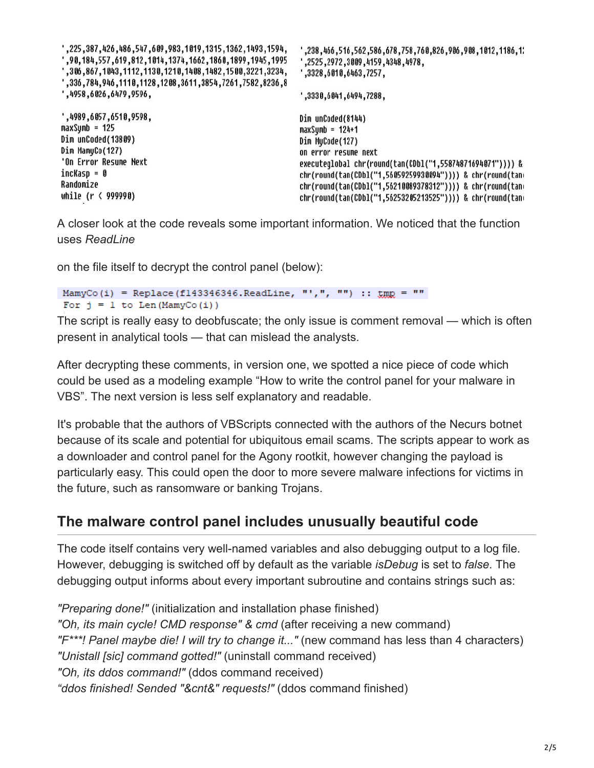| , 1594, 225, 1487, 1594, 169, 189, 189, 1847, 1484, 1484, 1594, 225, '<br>,90,184,557,619,812,1014,1374,1662,1860,1899,1945,1995,<br>, 306, 867, 1043, 1112, 1130, 1210, 1408, 1482, 1500, 3221, 3234, "<br>",336,784,946,1110,1128,1208,3611,3854,7261,7582,8236,8<br>,4958,6026,6479,9596, | ,238,466,516,562,586,678,758,768,826,906,908,1012,1186,1<br>, 2525, 2972, 3009, 4159, 4348, 4978,<br>,3328,6010,6463,7257,<br>,3330,6041,6494,7288, |
|----------------------------------------------------------------------------------------------------------------------------------------------------------------------------------------------------------------------------------------------------------------------------------------------|-----------------------------------------------------------------------------------------------------------------------------------------------------|
| ',4989,6057,6510,9598,                                                                                                                                                                                                                                                                       | Dim unCoded(8144)                                                                                                                                   |
| maxSymb = 125                                                                                                                                                                                                                                                                                | $maxSumb = 124+1$                                                                                                                                   |
| Dim unCoded(13809)                                                                                                                                                                                                                                                                           | Dim MyCode(127)                                                                                                                                     |
| Dim MamyCo(127)                                                                                                                                                                                                                                                                              | on error resume next                                                                                                                                |
| 'On Error Resume Next                                                                                                                                                                                                                                                                        | executeglobal chr(round(tan(CDbl("1,55874871694071")))) &                                                                                           |
| incKasp = 0                                                                                                                                                                                                                                                                                  | chr(round(tan(CDb1("1,56059259930094")))) & chr(round(tan                                                                                           |
| Randomize                                                                                                                                                                                                                                                                                    | chr(round(tan(CDb1("1,56210089378312")))) & chr(round(tan                                                                                           |
| while (r < 999990)                                                                                                                                                                                                                                                                           | chr(round(tan(CDb1("1,56253205213525")))) & chr(round(tan                                                                                           |

A closer look at the code reveals some important information. We noticed that the function uses *ReadLine*

on the file itself to decrypt the control panel (below):

```
MamyCo(i) = Replace(f143346346.ReadLine, "',", "") :: \text{trig} = ""
For j = 1 to Len (MamyCo(i))
```
The script is really easy to deobfuscate; the only issue is comment removal — which is often present in analytical tools — that can mislead the analysts.

After decrypting these comments, in version one, we spotted a nice piece of code which could be used as a modeling example "How to write the control panel for your malware in VBS". The next version is less self explanatory and readable.

It's probable that the authors of VBScripts connected with the authors of the Necurs botnet because of its scale and potential for ubiquitous email scams. The scripts appear to work as a downloader and control panel for the Agony rootkit, however changing the payload is particularly easy. This could open the door to more severe malware infections for victims in the future, such as ransomware or banking Trojans.

### **The malware control panel includes unusually beautiful code**

The code itself contains very well-named variables and also debugging output to a log file. However, debugging is switched off by default as the variable *isDebug* is set to *false*. The debugging output informs about every important subroutine and contains strings such as:

*"Preparing done!"* (initialization and installation phase finished) *"Oh, its main cycle! CMD response" & cmd* (after receiving a new command) *"F\*\*\*! Panel maybe die! I will try to change it..."* (new command has less than 4 characters) *"Unistall [sic] command gotted!"* (uninstall command received) *"Oh, its ddos command!"* (ddos command received) *"ddos finished! Sended "&cnt&" requests!"* (ddos command finished)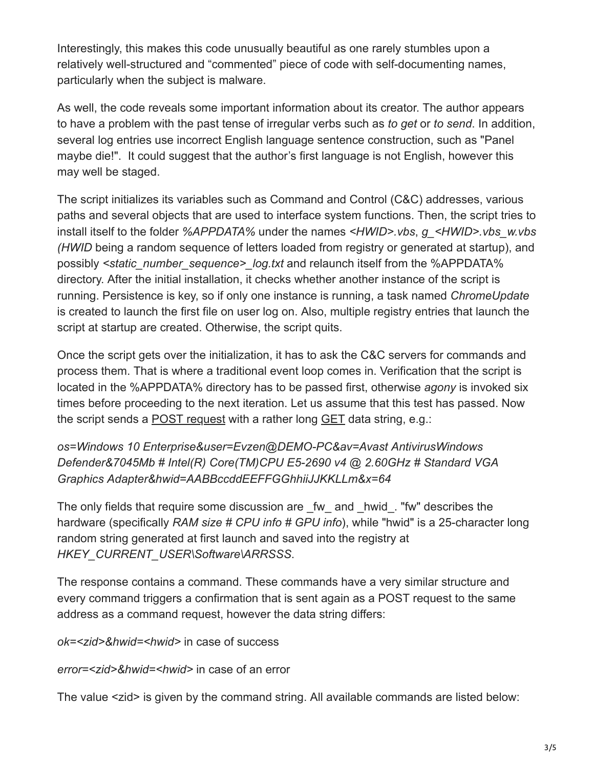Interestingly, this makes this code unusually beautiful as one rarely stumbles upon a relatively well-structured and "commented" piece of code with self-documenting names, particularly when the subject is malware.

As well, the code reveals some important information about its creator. The author appears to have a problem with the past tense of irregular verbs such as *to get* or *to send*. In addition, several log entries use incorrect English language sentence construction, such as "Panel maybe die!". It could suggest that the author's first language is not English, however this may well be staged.

The script initializes its variables such as Command and Control (C&C) addresses, various paths and several objects that are used to interface system functions. Then, the script tries to install itself to the folder *%APPDATA%* under the names *<HWID>.vbs*, *g\_<HWID>.vbs\_w.vbs (HWID* being a random sequence of letters loaded from registry or generated at startup), and possibly *<static\_number\_sequence>\_log.txt* and relaunch itself from the %APPDATA% directory. After the initial installation, it checks whether another instance of the script is running. Persistence is key, so if only one instance is running, a task named *ChromeUpdate* is created to launch the first file on user log on. Also, multiple registry entries that launch the script at startup are created. Otherwise, the script quits.

Once the script gets over the initialization, it has to ask the C&C servers for commands and process them. That is where a traditional event loop comes in. Verification that the script is located in the %APPDATA% directory has to be passed first, otherwise *agony* is invoked six times before proceeding to the next iteration. Let us assume that this test has passed. Now the script sends a [POST request](https://en.wikipedia.org/wiki/POST_(HTTP)) with a rather long [GET](https://en.wikipedia.org/wiki/Hypertext_Transfer_Protocol#Request_methods) data string, e.g.:

*os=Windows 10 Enterprise&user=Evzen@DEMO-PC&av=Avast AntivirusWindows Defender&7045Mb # Intel(R) Core(TM)CPU E5-2690 v4 @ 2.60GHz # Standard VGA Graphics Adapter&hwid=AABBccddEEFFGGhhiiJJKKLLm&x=64*

The only fields that require some discussion are fw and hwid. "fw" describes the hardware (specifically *RAM size # CPU info # GPU info*), while "hwid" is a 25-character long random string generated at first launch and saved into the registry at *HKEY\_CURRENT\_USER\Software\ARRSSS*.

The response contains a command. These commands have a very similar structure and every command triggers a confirmation that is sent again as a POST request to the same address as a command request, however the data string differs:

*ok=<zid>&hwid=<hwid>* in case of success

*error=<zid>&hwid=<hwid>* in case of an error

The value <zid> is given by the command string. All available commands are listed below: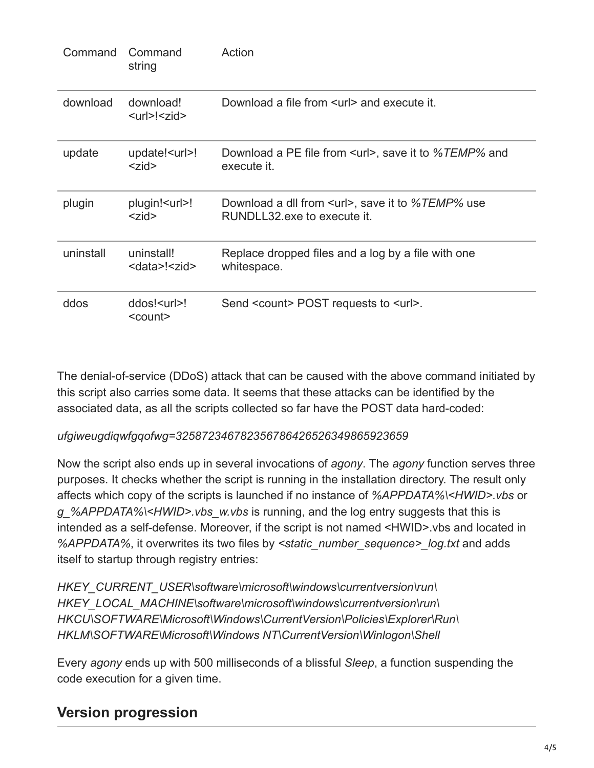| Command   | Command<br>string                                              | Action                                                                                 |
|-----------|----------------------------------------------------------------|----------------------------------------------------------------------------------------|
| download  | download!<br><url>!<zid></zid></url>                           | Download a file from surl and execute it.                                              |
| update    | update! <url>!<br/><math>&lt;</math>zid<math>&gt;</math></url> | Download a PE file from <url>, save it to %<i>TEMP</i>% and<br/>execute it.</url>      |
| plugin    | plugin! <url>!<br/><math>&lt;</math>zid<math>&gt;</math></url> | Download a dll from <url>, save it to %TEMP% use<br/>RUNDLL32 exe to execute it.</url> |
| uninstall | uninstall!<br><data>!<zid></zid></data>                        | Replace dropped files and a log by a file with one<br>whitespace.                      |
| ddos      | ddos! <url>!<br/><count></count></url>                         | Send <count> POST requests to <url>.</url></count>                                     |

The denial-of-service (DDoS) attack that can be caused with the above command initiated by this script also carries some data. It seems that these attacks can be identified by the associated data, as all the scripts collected so far have the POST data hard-coded:

#### *ufgiweugdiqwfgqofwg=325872346782356786426526349865923659*

Now the script also ends up in several invocations of *agony*. The *agony* function serves three purposes. It checks whether the script is running in the installation directory. The result only affects which copy of the scripts is launched if no instance of *%APPDATA%\<HWID>.vbs* or *g\_%APPDATA%\<HWID>.vbs\_w.vbs* is running, and the log entry suggests that this is intended as a self-defense. Moreover, if the script is not named <HWID>.vbs and located in *%APPDATA%*, it overwrites its two files by *<static\_number\_sequence>\_log.txt* and adds itself to startup through registry entries:

*HKEY\_CURRENT\_USER\software\microsoft\windows\currentversion\run\ HKEY\_LOCAL\_MACHINE\software\microsoft\windows\currentversion\run\ HKCU\SOFTWARE\Microsoft\Windows\CurrentVersion\Policies\Explorer\Run\ HKLM\SOFTWARE\Microsoft\Windows NT\CurrentVersion\Winlogon\Shell*

Every *agony* ends up with 500 milliseconds of a blissful *Sleep*, a function suspending the code execution for a given time.

## **Version progression**